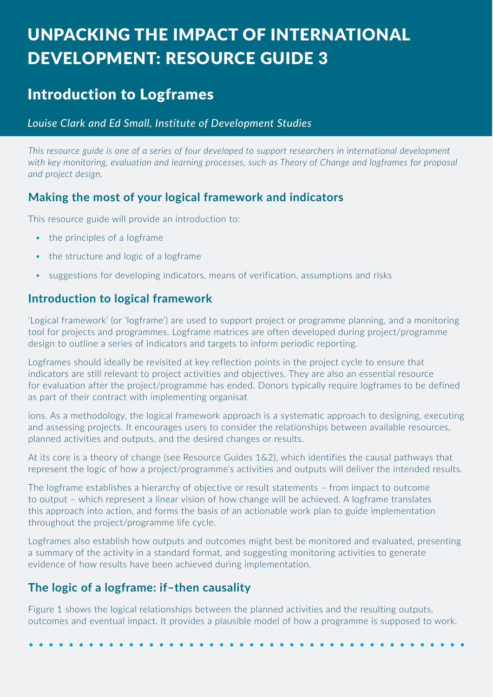# UNPACKING THE IMPACT OF INTERNATIONAL  $\qquad \qquad$ DEVELOPMENT: RESOURCE GUIDE 3

## Introduction to Logframes

#### *Louise Clark and Ed Small, Institute of Development Studies*

*This resource guide is one of a series of four developed to support researchers in international development*  with key monitoring, evaluation and learning processes, such as Theory of Change and logframes for proposal *and project design.*

## **Making the most of your logical framework and indicators**

This resource guide will provide an introduction to:

- the principles of a logframe
- the structure and logic of a logframe
- suggestions for developing indicators, means of verification, assumptions and risks

## **Introduction to logical framework**

'Logical framework' (or 'logframe') are used to support project or programme planning, and a monitoring tool for projects and programmes. Logframe matrices are often developed during project/programme design to outline a series of indicators and targets to inform periodic reporting.

Logframes should ideally be revisited at key reflection points in the project cycle to ensure that indicators are still relevant to project activities and objectives. They are also an essential resource for evaluation after the project/programme has ended. Donors typically require logframes to be defined as part of their contract with implementing organisat

ions. As a methodology, the logical framework approach is a systematic approach to designing, executing and assessing projects. It encourages users to consider the relationships between available resources, planned activities and outputs, and the desired changes or results.

At its core is a theory of change (see Resource Guides 1&2), which identifies the causal pathways that represent the logic of how a project/programme's activities and outputs will deliver the intended results.

The logframe establishes a hierarchy of objective or result statements – from impact to outcome to output – which represent a linear vision of how change will be achieved. A logframe translates this approach into action, and forms the basis of an actionable work plan to guide implementation throughout the project/programme life cycle.

Logframes also establish how outputs and outcomes might best be monitored and evaluated, presenting a summary of the activity in a standard format, and suggesting monitoring activities to generate evidence of how results have been achieved during implementation.

## **The logic of a logframe: if–then causality**

Figure 1 shows the logical relationships between the planned activities and the resulting outputs, outcomes and eventual impact. It provides a plausible model of how a programme is supposed to work.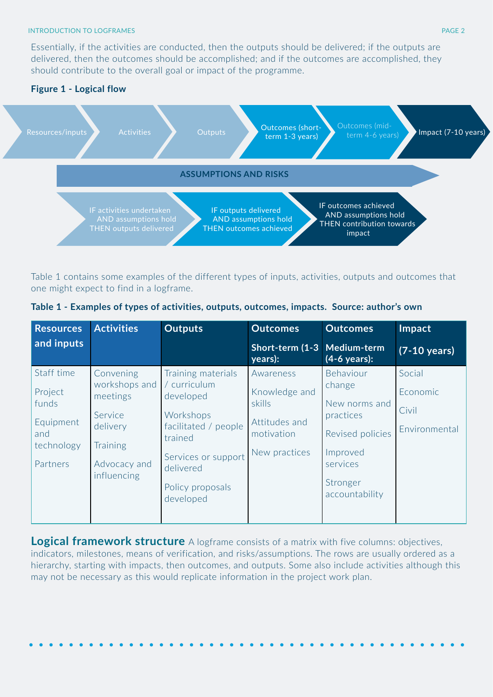#### **INTRODUCTION TO LOGFRAMES Example 2008 PAGE 2**

Essentially, if the activities are conducted, then the outputs should be delivered; if the outputs are delivered, then the outcomes should be accomplished; and if the outcomes are accomplished, they should contribute to the overall goal or impact of the programme.



Table 1 contains some examples of the different types of inputs, activities, outputs and outcomes that one might expect to find in a logframe.

| Table 1 - Examples of types of activities, outputs, outcomes, impacts. Source: author's own |  |  |
|---------------------------------------------------------------------------------------------|--|--|
|---------------------------------------------------------------------------------------------|--|--|

| <b>Resources</b>                                                             | <b>Activities</b>                                                                                        | <b>Outputs</b>                                                                                                                                                       | <b>Outcomes</b>                                                                      | <b>Outcomes</b>                                                                                                             | Impact                                       |
|------------------------------------------------------------------------------|----------------------------------------------------------------------------------------------------------|----------------------------------------------------------------------------------------------------------------------------------------------------------------------|--------------------------------------------------------------------------------------|-----------------------------------------------------------------------------------------------------------------------------|----------------------------------------------|
| and inputs                                                                   |                                                                                                          |                                                                                                                                                                      | Short-term (1-3<br>years):                                                           | Medium-term<br>(4-6 years):                                                                                                 | $(7-10 \text{ years})$                       |
| Staff time<br>Project<br>funds<br>Equipment<br>and<br>technology<br>Partners | Convening<br>workshops and<br>meetings<br>Service<br>delivery<br>Training<br>Advocacy and<br>influencing | Training materials<br>/ curriculum<br>developed<br>Workshops<br>facilitated / people<br>trained<br>Services or support<br>delivered<br>Policy proposals<br>developed | Awareness<br>Knowledge and<br>skills<br>Attitudes and<br>motivation<br>New practices | Behaviour<br>change<br>New norms and<br>practices<br>Revised policies<br>Improved<br>services<br>Stronger<br>accountability | Social<br>Economic<br>Civil<br>Environmental |

**Logical framework structure** A logframe consists of a matrix with five columns: objectives, indicators, milestones, means of verification, and risks/assumptions. The rows are usually ordered as a hierarchy, starting with impacts, then outcomes, and outputs. Some also include activities although this may not be necessary as this would replicate information in the project work plan.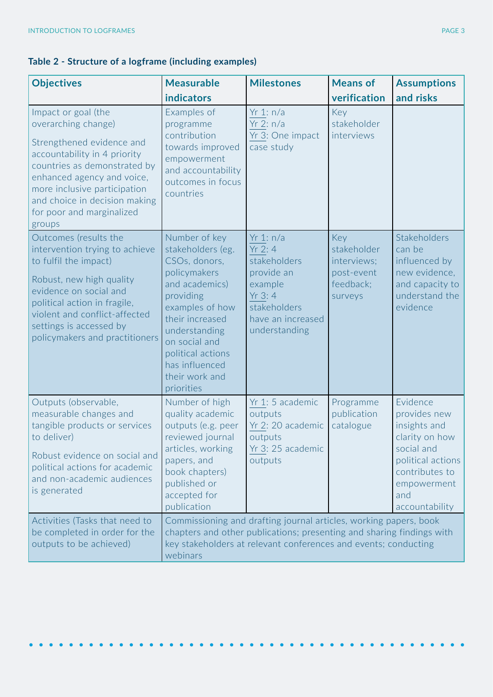## **Table 2 - Structure of a logframe (including examples)**

| <b>Objectives</b>                                                                                                                                                                                                                                                             | <b>Measurable</b><br><b>indicators</b>                                                                                                                                                                                                            | <b>Milestones</b>                                                                                                                                                                                             | <b>Means of</b><br>verification                                         | <b>Assumptions</b><br>and risks                                                                                                                         |
|-------------------------------------------------------------------------------------------------------------------------------------------------------------------------------------------------------------------------------------------------------------------------------|---------------------------------------------------------------------------------------------------------------------------------------------------------------------------------------------------------------------------------------------------|---------------------------------------------------------------------------------------------------------------------------------------------------------------------------------------------------------------|-------------------------------------------------------------------------|---------------------------------------------------------------------------------------------------------------------------------------------------------|
| Impact or goal (the<br>overarching change)<br>Strengthened evidence and<br>accountability in 4 priority<br>countries as demonstrated by<br>enhanced agency and voice,<br>more inclusive participation<br>and choice in decision making<br>for poor and marginalized<br>groups | Examples of<br>programme<br>contribution<br>towards improved<br>empowerment<br>and accountability<br>outcomes in focus<br>countries                                                                                                               | Yr 1: n/a<br>Yr 2: $n/a$<br>Yr 3: One impact<br>case study                                                                                                                                                    | Key<br>stakeholder<br>interviews                                        |                                                                                                                                                         |
| Outcomes (results the<br>intervention trying to achieve<br>to fulfil the impact)<br>Robust, new high quality<br>evidence on social and<br>political action in fragile,<br>violent and conflict-affected<br>settings is accessed by<br>policymakers and practitioners          | Number of key<br>stakeholders (eg.<br>CSOs, donors,<br>policymakers<br>and academics)<br>providing<br>examples of how<br>their increased<br>understanding<br>on social and<br>political actions<br>has influenced<br>their work and<br>priorities | Yr 1: n/a<br>Yr 2: 4<br>stakeholders<br>provide an<br>example<br>Yr 3: 4<br>stakeholders<br>have an increased<br>understanding                                                                                | Key<br>stakeholder<br>interviews;<br>post-event<br>feedback;<br>surveys | Stakeholders<br>can be<br>influenced by<br>new evidence,<br>and capacity to<br>understand the<br>evidence                                               |
| Outputs (observable,<br>measurable changes and<br>tangible products or services<br>to deliver)<br>Robust evidence on social and<br>political actions for academic<br>and non-academic audiences<br>is generated                                                               | Number of high<br>quality academic<br>outputs (e.g. peer<br>reviewed journal<br>articles, working<br>papers, and<br>book chapters)<br>published or<br>accepted for<br>publication                                                                 | Yr 1: 5 academic<br>outputs<br>Yr 2: 20 academic<br>outputs<br>Yr 3: 25 academic<br>outputs                                                                                                                   | Programme<br>publication<br>catalogue                                   | Evidence<br>provides new<br>insights and<br>clarity on how<br>social and<br>political actions<br>contributes to<br>empowerment<br>and<br>accountability |
| Activities (Tasks that need to<br>be completed in order for the<br>outputs to be achieved)                                                                                                                                                                                    | webinars                                                                                                                                                                                                                                          | Commissioning and drafting journal articles, working papers, book<br>chapters and other publications; presenting and sharing findings with<br>key stakeholders at relevant conferences and events; conducting |                                                                         |                                                                                                                                                         |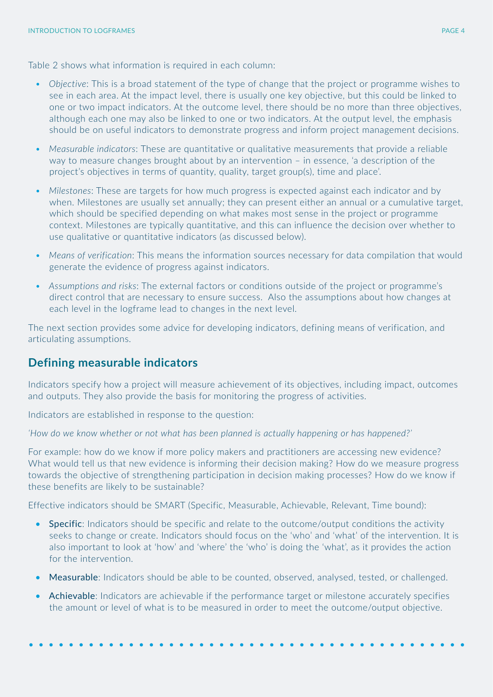Table 2 shows what information is required in each column:

- *• Objective*: This is a broad statement of the type of change that the project or programme wishes to see in each area. At the impact level, there is usually one key objective, but this could be linked to one or two impact indicators. At the outcome level, there should be no more than three objectives, although each one may also be linked to one or two indicators. At the output level, the emphasis should be on useful indicators to demonstrate progress and inform project management decisions.
- *• Measurable indicators*: These are quantitative or qualitative measurements that provide a reliable way to measure changes brought about by an intervention – in essence, 'a description of the project's objectives in terms of quantity, quality, target group(s), time and place'.
- *• Milestones*: These are targets for how much progress is expected against each indicator and by when. Milestones are usually set annually; they can present either an annual or a cumulative target, which should be specified depending on what makes most sense in the project or programme context. Milestones are typically quantitative, and this can influence the decision over whether to use qualitative or quantitative indicators (as discussed below).
- *• Means of verification*: This means the information sources necessary for data compilation that would generate the evidence of progress against indicators.
- *• Assumptions and risks*: The external factors or conditions outside of the project or programme's direct control that are necessary to ensure success. Also the assumptions about how changes at each level in the logframe lead to changes in the next level.

The next section provides some advice for developing indicators, defining means of verification, and articulating assumptions.

#### **Defining measurable indicators**

Indicators specify how a project will measure achievement of its objectives, including impact, outcomes and outputs. They also provide the basis for monitoring the progress of activities.

Indicators are established in response to the question:

*'How do we know whether or not what has been planned is actually happening or has happened?'* 

For example: how do we know if more policy makers and practitioners are accessing new evidence? What would tell us that new evidence is informing their decision making? How do we measure progress towards the objective of strengthening participation in decision making processes? How do we know if these benefits are likely to be sustainable?

Effective indicators should be SMART (Specific, Measurable, Achievable, Relevant, Time bound):

- Specific: Indicators should be specific and relate to the outcome/output conditions the activity seeks to change or create. Indicators should focus on the 'who' and 'what' of the intervention. It is also important to look at 'how' and 'where' the 'who' is doing the 'what', as it provides the action for the intervention.
- Measurable: Indicators should be able to be counted, observed, analysed, tested, or challenged.
- Achievable: Indicators are achievable if the performance target or milestone accurately specifies the amount or level of what is to be measured in order to meet the outcome/output objective.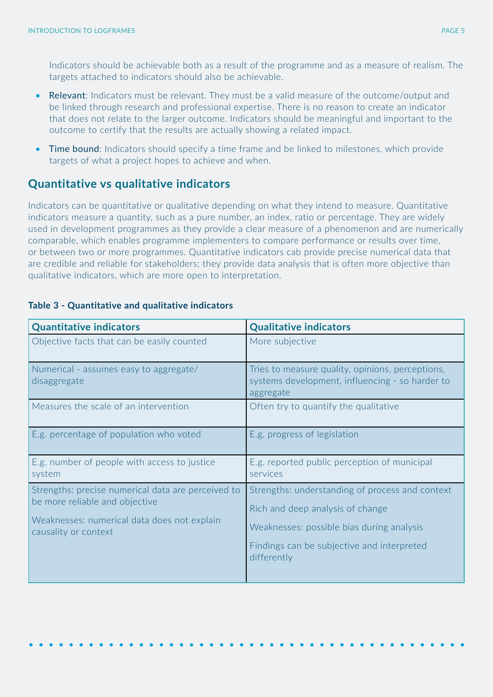Indicators should be achievable both as a result of the programme and as a measure of realism. The targets attached to indicators should also be achievable.

- Relevant: Indicators must be relevant. They must be a valid measure of the outcome/output and be linked through research and professional expertise. There is no reason to create an indicator that does not relate to the larger outcome. Indicators should be meaningful and important to the outcome to certify that the results are actually showing a related impact.
- Time bound: Indicators should specify a time frame and be linked to milestones, which provide targets of what a project hopes to achieve and when.

#### **Quantitative vs qualitative indicators**

Indicators can be quantitative or qualitative depending on what they intend to measure. Quantitative indicators measure a quantity, such as a pure number, an index, ratio or percentage. They are widely used in development programmes as they provide a clear measure of a phenomenon and are numerically comparable, which enables programme implementers to compare performance or results over time, or between two or more programmes. Quantitative indicators cab provide precise numerical data that are credible and reliable for stakeholders; they provide data analysis that is often more objective than qualitative indicators, which are more open to interpretation.

| <b>Quantitative indicators</b>                                                                                                                              | <b>Qualitative indicators</b>                                                                                                                                                                 |
|-------------------------------------------------------------------------------------------------------------------------------------------------------------|-----------------------------------------------------------------------------------------------------------------------------------------------------------------------------------------------|
| Objective facts that can be easily counted                                                                                                                  | More subjective                                                                                                                                                                               |
| Numerical - assumes easy to aggregate/<br>disaggregate                                                                                                      | Tries to measure quality, opinions, perceptions,<br>systems development, influencing - so harder to<br>aggregate                                                                              |
| Measures the scale of an intervention                                                                                                                       | Often try to quantify the qualitative                                                                                                                                                         |
| E.g. percentage of population who voted                                                                                                                     | E.g. progress of legislation                                                                                                                                                                  |
| E.g. number of people with access to justice<br>system                                                                                                      | E.g. reported public perception of municipal<br>services                                                                                                                                      |
| Strengths: precise numerical data are perceived to<br>be more reliable and objective<br>Weaknesses: numerical data does not explain<br>causality or context | Strengths: understanding of process and context<br>Rich and deep analysis of change<br>Weaknesses: possible bias during analysis<br>Findings can be subjective and interpreted<br>differently |

#### **Table 3 - Quantitative and qualitative indicators**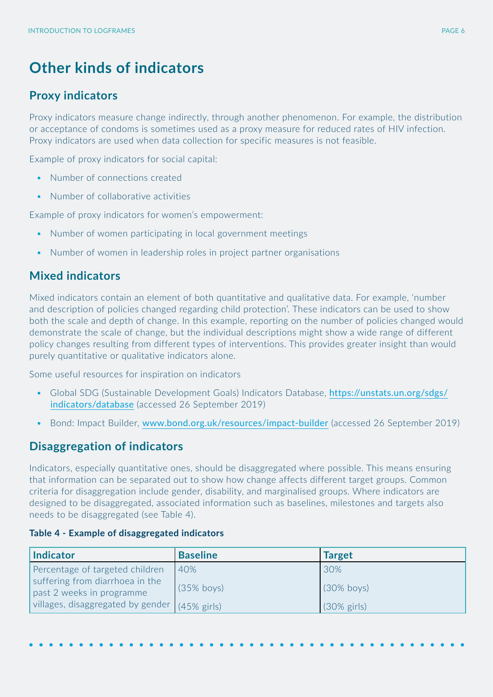## **Other kinds of indicators**

#### **Proxy indicators**

Proxy indicators measure change indirectly, through another phenomenon. For example, the distribution or acceptance of condoms is sometimes used as a proxy measure for reduced rates of HIV infection. Proxy indicators are used when data collection for specific measures is not feasible.

Example of proxy indicators for social capital:

- Number of connections created
- Number of collaborative activities

Example of proxy indicators for women's empowerment:

- Number of women participating in local government meetings
- Number of women in leadership roles in project partner organisations

#### **Mixed indicators**

Mixed indicators contain an element of both quantitative and qualitative data. For example, 'number and description of policies changed regarding child protection'. These indicators can be used to show both the scale and depth of change. In this example, reporting on the number of policies changed would demonstrate the scale of change, but the individual descriptions might show a wide range of different policy changes resulting from different types of interventions. This provides greater insight than would purely quantitative or qualitative indicators alone.

Some useful resources for inspiration on indicators

- Global SDG (Sustainable Development Goals) Indicators Database, [https://unstats.un.org/sdgs/](https://unstats.un.org/sdgs/indicators/database) [indicators/database](https://unstats.un.org/sdgs/indicators/database) (accessed 26 September 2019)
- Bond: Impact Builder, [www.bond.org.uk/resources/impact-builder](http://www.bond.org.uk/resources/impact-builder) (accessed 26 September 2019)

#### **Disaggregation of indicators**

Indicators, especially quantitative ones, should be disaggregated where possible. This means ensuring that information can be separated out to show how change affects different target groups. Common criteria for disaggregation include gender, disability, and marginalised groups. Where indicators are designed to be disaggregated, associated information such as baselines, milestones and targets also needs to be disaggregated (see Table 4).

| <b>Indicator</b>                                             | <b>Baseline</b> | <b>Target</b>          |
|--------------------------------------------------------------|-----------------|------------------------|
| Percentage of targeted children                              | 40%             | 30%                    |
| suffering from diarrhoea in the<br>past 2 weeks in programme | $(35\%$ boys)   | $(30\%$ boys)          |
| villages, disaggregated by gender (45% girls)                |                 | $(30\% \text{ girls})$ |

#### **Table 4 - Example of disaggregated indicators**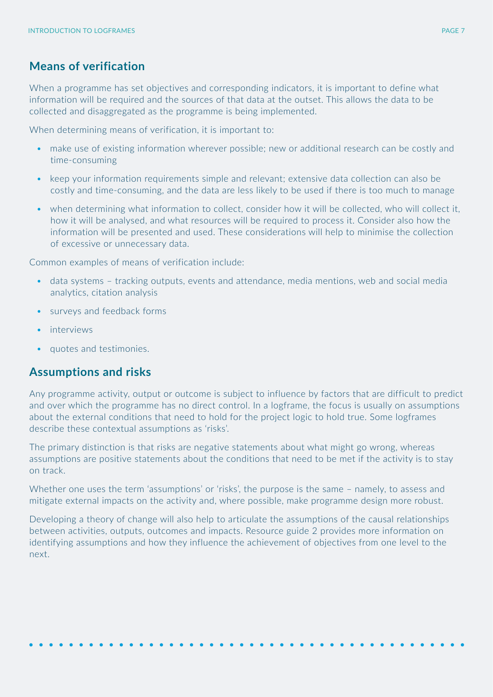#### **Means of verification**

When a programme has set objectives and corresponding indicators, it is important to define what information will be required and the sources of that data at the outset. This allows the data to be collected and disaggregated as the programme is being implemented.

When determining means of verification, it is important to:

- make use of existing information wherever possible; new or additional research can be costly and time-consuming
- keep your information requirements simple and relevant; extensive data collection can also be costly and time-consuming, and the data are less likely to be used if there is too much to manage
- when determining what information to collect, consider how it will be collected, who will collect it, how it will be analysed, and what resources will be required to process it. Consider also how the information will be presented and used. These considerations will help to minimise the collection of excessive or unnecessary data.

Common examples of means of verification include:

- data systems tracking outputs, events and attendance, media mentions, web and social media analytics, citation analysis
- surveys and feedback forms
- interviews
- quotes and testimonies.

#### **Assumptions and risks**

Any programme activity, output or outcome is subject to influence by factors that are difficult to predict and over which the programme has no direct control. In a logframe, the focus is usually on assumptions about the external conditions that need to hold for the project logic to hold true. Some logframes describe these contextual assumptions as 'risks'.

The primary distinction is that risks are negative statements about what might go wrong, whereas assumptions are positive statements about the conditions that need to be met if the activity is to stay on track.

Whether one uses the term 'assumptions' or 'risks', the purpose is the same – namely, to assess and mitigate external impacts on the activity and, where possible, make programme design more robust.

Developing a theory of change will also help to articulate the assumptions of the causal relationships between activities, outputs, outcomes and impacts. Resource guide 2 provides more information on identifying assumptions and how they influence the achievement of objectives from one level to the next.